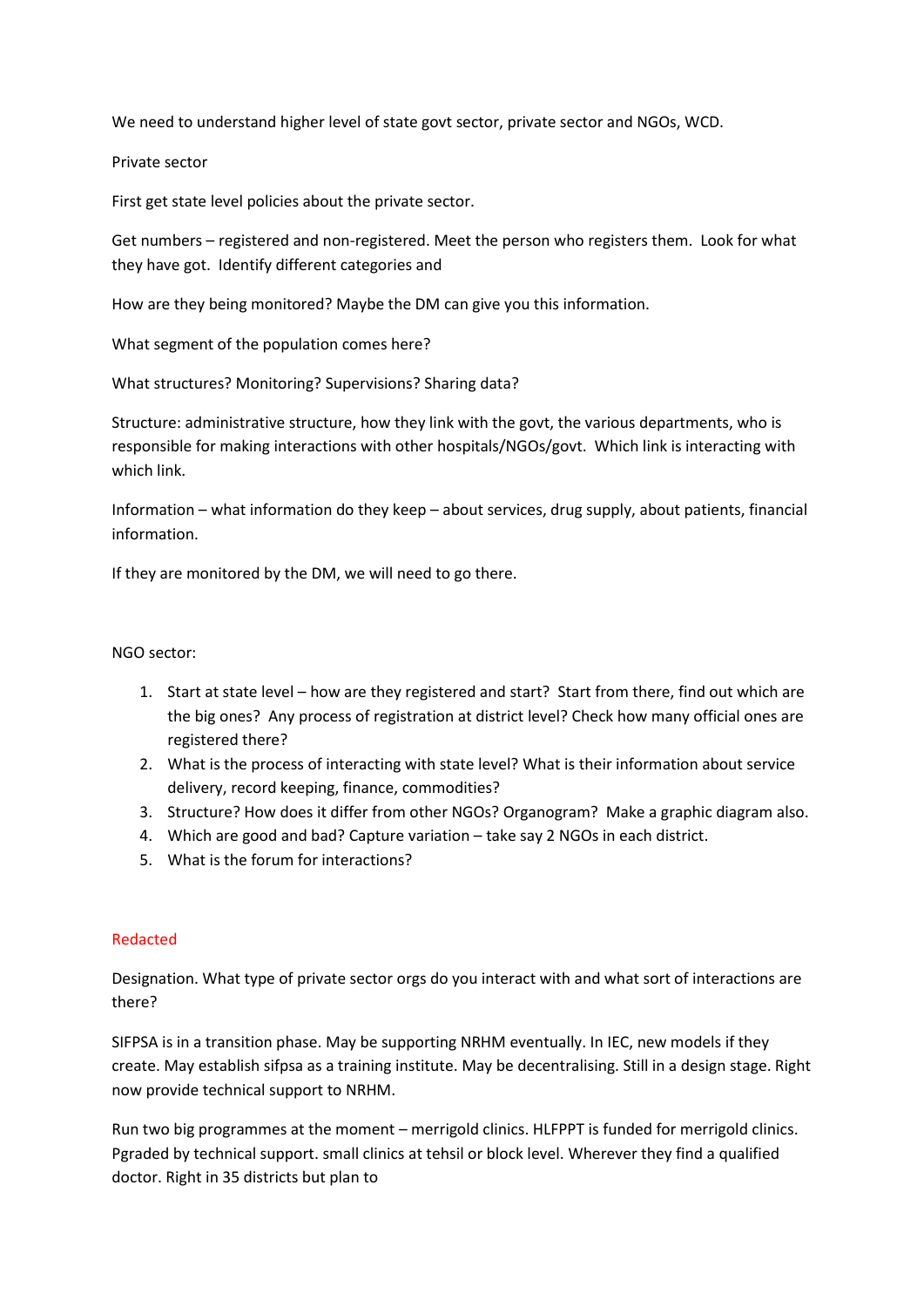We need to understand higher level of state govt sector, private sector and NGOs, WCD.

Private sector

First get state level policies about the private sector.

Get numbers – registered and non-registered. Meet the person who registers them. Look for what they have got. Identify different categories and

How are they being monitored? Maybe the DM can give you this information.

What segment of the population comes here?

What structures? Monitoring? Supervisions? Sharing data?

Structure: administrative structure, how they link with the govt, the various departments, who is responsible for making interactions with other hospitals/NGOs/govt. Which link is interacting with which link.

Information – what information do they keep – about services, drug supply, about patients, financial information.

If they are monitored by the DM, we will need to go there.

## NGO sector:

- 1. Start at state level how are they registered and start? Start from there, find out which are the big ones? Any process of registration at district level? Check how many official ones are registered there?
- 2. What is the process of interacting with state level? What is their information about service delivery, record keeping, finance, commodities?
- 3. Structure? How does it differ from other NGOs? Organogram? Make a graphic diagram also.
- 4. Which are good and bad? Capture variation take say 2 NGOs in each district.
- 5. What is the forum for interactions?

## Redacted

Designation. What type of private sector orgs do you interact with and what sort of interactions are there?

SIFPSA is in a transition phase. May be supporting NRHM eventually. In IEC, new models if they create. May establish sifpsa as a training institute. May be decentralising. Still in a design stage. Right now provide technical support to NRHM.

Run two big programmes at the moment – merrigold clinics. HLFPPT is funded for merrigold clinics. Pgraded by technical support. small clinics at tehsil or block level. Wherever they find a qualified doctor. Right in 35 districts but plan to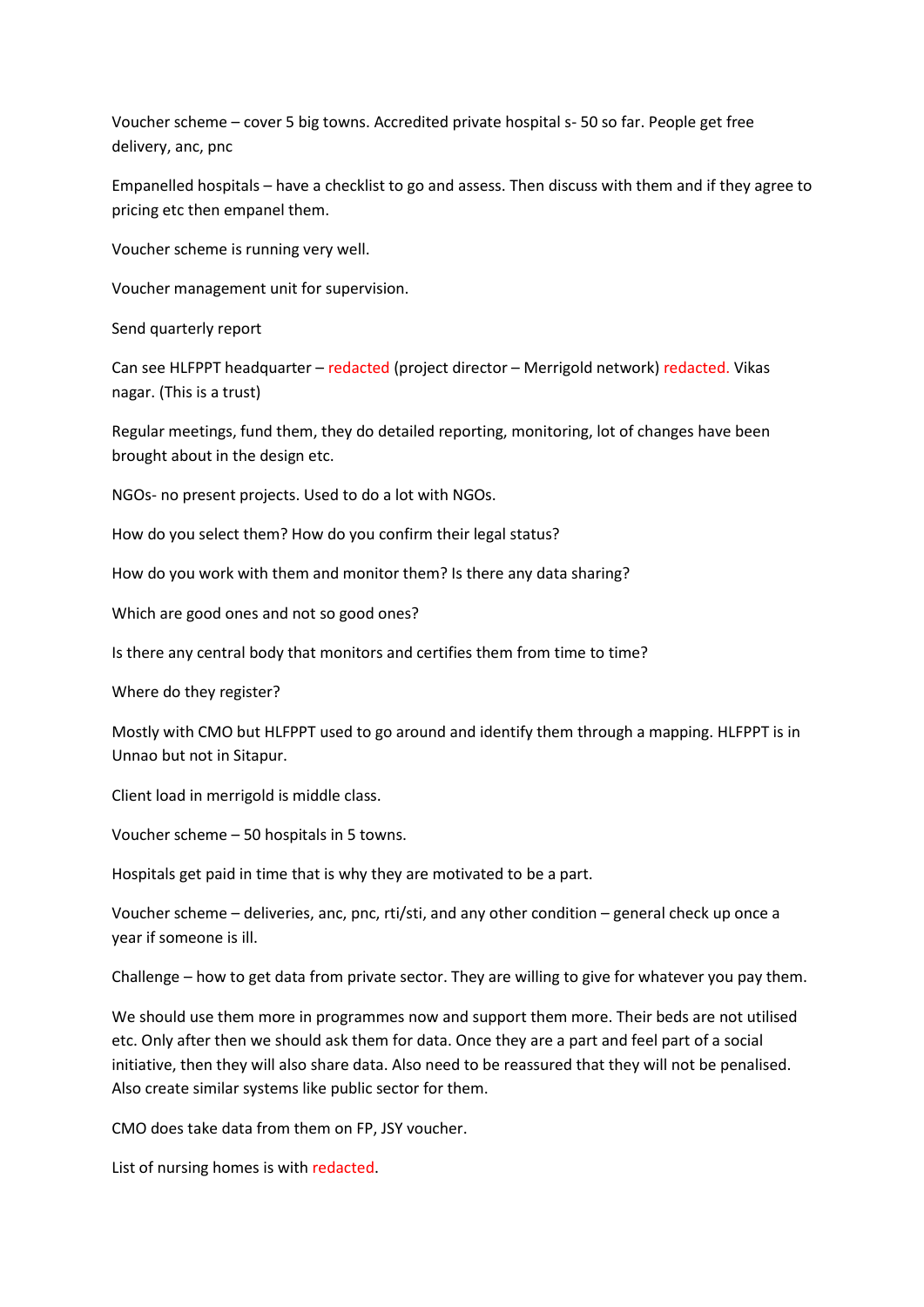Voucher scheme – cover 5 big towns. Accredited private hospital s- 50 so far. People get free delivery, anc, pnc

Empanelled hospitals – have a checklist to go and assess. Then discuss with them and if they agree to pricing etc then empanel them.

Voucher scheme is running very well.

Voucher management unit for supervision.

Send quarterly report

Can see HLFPPT headquarter – redacted (project director – Merrigold network) redacted. Vikas nagar. (This is a trust)

Regular meetings, fund them, they do detailed reporting, monitoring, lot of changes have been brought about in the design etc.

NGOs- no present projects. Used to do a lot with NGOs.

How do you select them? How do you confirm their legal status?

How do you work with them and monitor them? Is there any data sharing?

Which are good ones and not so good ones?

Is there any central body that monitors and certifies them from time to time?

Where do they register?

Mostly with CMO but HLFPPT used to go around and identify them through a mapping. HLFPPT is in Unnao but not in Sitapur.

Client load in merrigold is middle class.

Voucher scheme – 50 hospitals in 5 towns.

Hospitals get paid in time that is why they are motivated to be a part.

Voucher scheme – deliveries, anc, pnc, rti/sti, and any other condition – general check up once a year if someone is ill.

Challenge – how to get data from private sector. They are willing to give for whatever you pay them.

We should use them more in programmes now and support them more. Their beds are not utilised etc. Only after then we should ask them for data. Once they are a part and feel part of a social initiative, then they will also share data. Also need to be reassured that they will not be penalised. Also create similar systems like public sector for them.

CMO does take data from them on FP, JSY voucher.

List of nursing homes is with redacted.